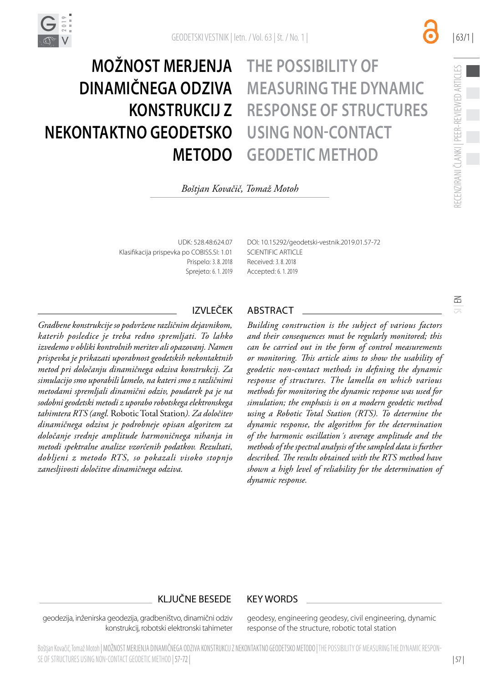

# **Možnost merjenja dinamičnega odziva konstrukcij z nekontaktno geodetsko metodo**

# **The possibility of measuring the dynamic response of structures using non-contact geodetic method**

# *Boštjan Kovačič, Tomaž Motoh*

UDK: 528.48:624.07 Klasifikacija prispevka po COBISS.SI: 1.01 Prispelo: 3. 8. 2018 Sprejeto: 6. 1. 2019 DOI: 10.15292[/geodetski-vestnik.2019.01](http://dx.doi.org/10.15292/geodetski-vestnik.2017.03.373-386).57-72 SCIENTIFIC ARTICLE Received: 3. 8. 2018 Accepted: 6. 1. 2019

*Gradbene konstrukcije so podvržene različnim dejavnikom, katerih posledice je treba redno spremljati. To lahko izvedemo v obliki kontrolnih meritev ali opazovanj. Namen prispevka je prikazati uporabnost geodetskih nekontaktnih metod pri določanju dinamičnega odziva konstrukcij. Za simulacijo smo uporabili lamelo, na kateri smo z različnimi metodami spremljali dinamični odziv, poudarek pa je na sodobni geodetski metodi z uporabo robotskega elektronskega tahimtera RTS (angl.* Robotic Total Station*). Za določitev dinamičnega odziva je podrobneje opisan algoritem za določanje srednje amplitude harmoničnega nihanja in metodi spektralne analize vzorčenih podatkov. Rezultati, dobljeni z metodo RTS, so pokazali visoko stopnjo zanesljivosti določitve dinamičnega odziva.*

# IZVLEČEK ABSTRACT

*Building construction is the subject of various factors and their consequences must be regularly monitored; this can be carried out in the form of control measurements or monitoring. This article aims to show the usability of geodetic non-contact methods in defining the dynamic response of structures. The lamella on which various methods for monitoring the dynamic response was used for simulation; the emphasis is on a modern geodetic method using a Robotic Total Station (RTS). To determine the dynamic response, the algorithm for the determination of the harmonic oscillation´s average amplitude and the methods of the spectral analysis of the sampled data is further described. The results obtained with the RTS method have shown a high level of reliability for the determination of dynamic response.*

### KLJUČNE BESEDE KEY WORDS

geodezija, inženirska geodezija, gradbeništvo, dinamični odziv konstrukcij, robotski elektronski tahimeter geodesy, engineering geodesy, civil engineering, dynamic response of the structure, robotic total station

 $\Xi$ 

| 63/1 |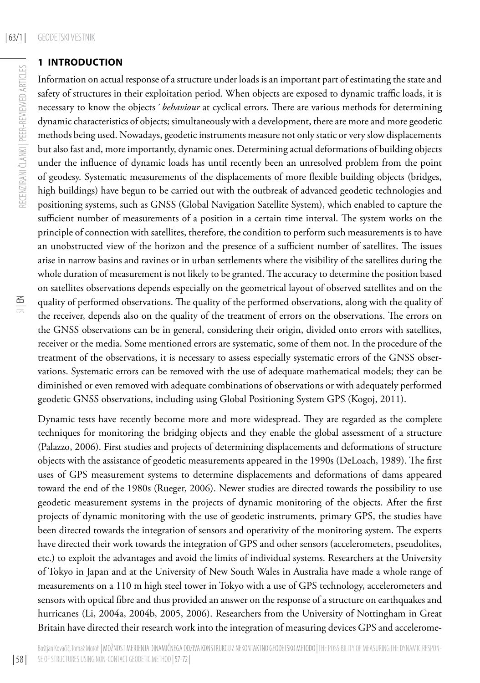## **1 INTRODUCTION**

Information on actual response of a structure under loads is an important part of estimating the state and safety of structures in their exploitation period. When objects are exposed to dynamic traffic loads, it is necessary to know the objects*´ behaviour* at cyclical errors. There are various methods for determining dynamic characteristics of objects; simultaneously with a development, there are more and more geodetic methods being used. Nowadays, geodetic instruments measure not only static or very slow displacements but also fast and, more importantly, dynamic ones. Determining actual deformations of building objects under the influence of dynamic loads has until recently been an unresolved problem from the point of geodesy. Systematic measurements of the displacements of more flexible building objects (bridges, high buildings) have begun to be carried out with the outbreak of advanced geodetic technologies and positioning systems, such as GNSS (Global Navigation Satellite System), which enabled to capture the sufficient number of measurements of a position in a certain time interval. The system works on the principle of connection with satellites, therefore, the condition to perform such measurements is to have an unobstructed view of the horizon and the presence of a sufficient number of satellites. The issues arise in narrow basins and ravines or in urban settlements where the visibility of the satellites during the whole duration of measurement is not likely to be granted. The accuracy to determine the position based on satellites observations depends especially on the geometrical layout of observed satellites and on the quality of performed observations. The quality of the performed observations, along with the quality of the receiver, depends also on the quality of the treatment of errors on the observations. The errors on the GNSS observations can be in general, considering their origin, divided onto errors with satellites, receiver or the media. Some mentioned errors are systematic, some of them not. In the procedure of the treatment of the observations, it is necessary to assess especially systematic errors of the GNSS observations. Systematic errors can be removed with the use of adequate mathematical models; they can be diminished or even removed with adequate combinations of observations or with adequately performed geodetic GNSS observations, including using Global Positioning System GPS (Kogoj, 2011).

Dynamic tests have recently become more and more widespread. They are regarded as the complete techniques for monitoring the bridging objects and they enable the global assessment of a structure (Palazzo, 2006). First studies and projects of determining displacements and deformations of structure objects with the assistance of geodetic measurements appeared in the 1990s (DeLoach, 1989). The first uses of GPS measurement systems to determine displacements and deformations of dams appeared toward the end of the 1980s (Rueger, 2006). Newer studies are directed towards the possibility to use geodetic measurement systems in the projects of dynamic monitoring of the objects. After the first projects of dynamic monitoring with the use of geodetic instruments, primary GPS, the studies have been directed towards the integration of sensors and operativity of the monitoring system. The experts have directed their work towards the integration of GPS and other sensors (accelerometers, pseudolites, etc.) to exploit the advantages and avoid the limits of individual systems. Researchers at the University of Tokyo in Japan and at the University of New South Wales in Australia have made a whole range of measurements on a 110 m high steel tower in Tokyo with a use of GPS technology, accelerometers and sensors with optical fibre and thus provided an answer on the response of a structure on earthquakes and hurricanes (Li, 2004a, 2004b, 2005, 2006). Researchers from the University of Nottingham in Great Britain have directed their research work into the integration of measuring devices GPS and accelerome-

| 58 |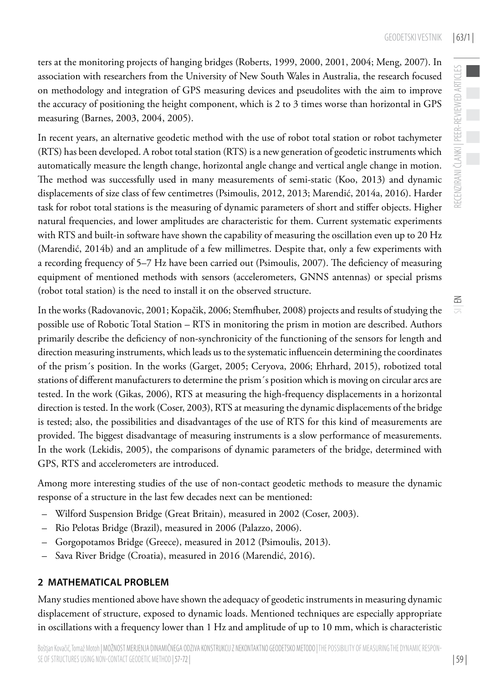ters at the monitoring projects of hanging bridges (Roberts, 1999, 2000, 2001, 2004; Meng, 2007). In association with researchers from the University of New South Wales in Australia, the research focused on methodology and integration of GPS measuring devices and pseudolites with the aim to improve the accuracy of positioning the height component, which is 2 to 3 times worse than horizontal in GPS measuring (Barnes, 2003, 2004, 2005).

In recent years, an alternative geodetic method with the use of robot total station or robot tachymeter (RTS) has been developed. A robot total station (RTS) is a new generation of geodetic instruments which automatically measure the length change, horizontal angle change and vertical angle change in motion. The method was successfully used in many measurements of semi-static (Koo, 2013) and dynamic displacements of size class of few centimetres (Psimoulis, 2012, 2013; Marendić, 2014a, 2016). Harder task for robot total stations is the measuring of dynamic parameters of short and stiffer objects. Higher natural frequencies, and lower amplitudes are characteristic for them. Current systematic experiments with RTS and built-in software have shown the capability of measuring the oscillation even up to 20 Hz (Marendić, 2014b) and an amplitude of a few millimetres. Despite that, only a few experiments with a recording frequency of 5–7 Hz have been carried out (Psimoulis, 2007). The deficiency of measuring equipment of mentioned methods with sensors (accelerometers, GNNS antennas) or special prisms (robot total station) is the need to install it on the observed structure.

In the works (Radovanovic, 2001; Kopačik, 2006; Stemfhuber, 2008) projects and results of studying the possible use of Robotic Total Station – RTS in monitoring the prism in motion are described. Authors primarily describe the deficiency of non-synchronicity of the functioning of the sensors for length and direction measuring instruments, which leads us to the systematic influencein determining the coordinates of the prism´s position. In the works (Garget, 2005; Ceryova, 2006; Ehrhard, 2015), robotized total stations of different manufacturers to determine the prism´s position which is moving on circular arcs are tested. In the work (Gikas, 2006), RTS at measuring the high-frequency displacements in a horizontal direction is tested. In the work (Coser, 2003), RTS at measuring the dynamic displacements of the bridge is tested; also, the possibilities and disadvantages of the use of RTS for this kind of measurements are provided. The biggest disadvantage of measuring instruments is a slow performance of measurements. In the work (Lekidis, 2005), the comparisons of dynamic parameters of the bridge, determined with GPS, RTS and accelerometers are introduced.

Among more interesting studies of the use of non-contact geodetic methods to measure the dynamic response of a structure in the last few decades next can be mentioned:

- Wilford Suspension Bridge (Great Britain), measured in 2002 (Coser, 2003).
- Rio Pelotas Bridge (Brazil), measured in 2006 (Palazzo, 2006).
- Gorgopotamos Bridge (Greece), measured in 2012 (Psimoulis, 2013).
- Sava River Bridge (Croatia), measured in 2016 (Marendić, 2016).

# **2 MATHEMATICAL PROBLEM**

Many studies mentioned above have shown the adequacy of geodetic instruments in measuring dynamic displacement of structure, exposed to dynamic loads. Mentioned techniques are especially appropriate in oscillations with a frequency lower than 1 Hz and amplitude of up to 10 mm, which is characteristic  $\leq$ 

| 59 |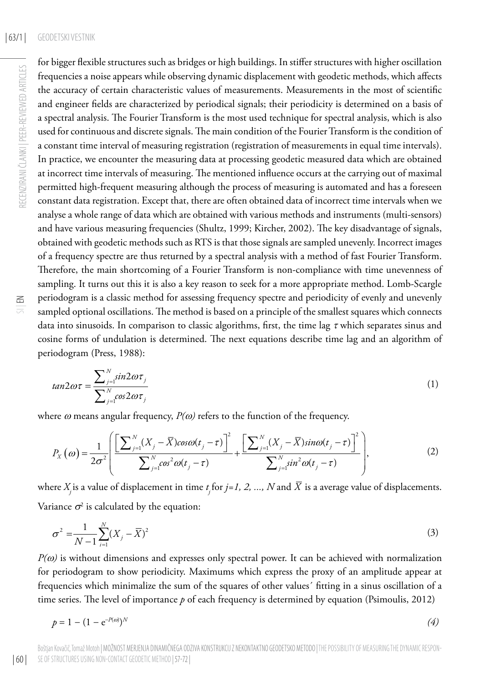for bigger flexible structures such as bridges or high buildings. In stiffer structures with higher oscillation frequencies a noise appears while observing dynamic displacement with geodetic methods, which affects the accuracy of certain characteristic values of measurements. Measurements in the most of scientific and engineer fields are characterized by periodical signals; their periodicity is determined on a basis of a spectral analysis. The Fourier Transform is the most used technique for spectral analysis, which is also used for continuous and discrete signals. The main condition of the Fourier Transform is the condition of a constant time interval of measuring registration (registration of measurements in equal time intervals). In practice, we encounter the measuring data at processing geodetic measured data which are obtained at incorrect time intervals of measuring. The mentioned influence occurs at the carrying out of maximal permitted high-frequent measuring although the process of measuring is automated and has a foreseen constant data registration. Except that, there are often obtained data of incorrect time intervals when we analyse a whole range of data which are obtained with various methods and instruments (multi-sensors) and have various measuring frequencies (Shultz, 1999; Kircher, 2002). The key disadvantage of signals, obtained with geodetic methods such as RTS is that those signals are sampled unevenly. Incorrect images of a frequency spectre are thus returned by a spectral analysis with a method of fast Fourier Transform. Therefore, the main shortcoming of a Fourier Transform is non-compliance with time unevenness of sampling. It turns out this it is also a key reason to seek for a more appropriate method. Lomb-Scargle periodogram is a classic method for assessing frequency spectre and periodicity of evenly and unevenly sampled optional oscillations. The method is based on a principle of the smallest squares which connects data into sinusoids. In comparison to classic algorithms, first, the time lag  $\tau$  which separates sinus and cosine forms of undulation is determined. The next equations describe time lag and an algorithm of periodogram (Press, 1988):

$$
tan 2\omega \tau = \frac{\sum_{j=1}^{N} sin 2\omega \tau_j}{\sum_{j=1}^{N} cos 2\omega \tau_j}
$$
 (1)

where  $\omega$  means angular frequency,  $P(\omega)$  refers to the function of the frequency.

$$
P_X(\omega) = \frac{1}{2\sigma^2} \left( \frac{\left[ \sum_{j=1}^N (X_j - \overline{X}) \cos \omega(t_j - \tau) \right]^2}{\sum_{j=1}^N \cos^2 \omega(t_j - \tau)} + \frac{\left[ \sum_{j=1}^N (X_j - \overline{X}) \sin \omega(t_j - \tau) \right]^2}{\sum_{j=1}^N \sin^2 \omega(t_j - \tau)} \right),
$$
(2)

where  $X_j$  is a value of displacement in time  $t_j$  for  $j$ =1, 2, …,  $N$  and  $X$  is a average value of displacements. Variance  $\sigma^2$  is calculated by the equation:

$$
\sigma^2 = \frac{1}{N-1} \sum_{i=1}^{N} (X_i - \overline{X})^2
$$
\n(3)

*P(*ω*)* is without dimensions and expresses only spectral power. It can be achieved with normalization for periodogram to show periodicity. Maximums which express the proxy of an amplitude appear at frequencies which minimalize the sum of the squares of other values´ fitting in a sinus oscillation of a time series. The level of importance *p* of each frequency is determined by equation (Psimoulis, 2012)

$$
p = 1 - (1 - e^{-P(\omega)})^N
$$
 (4)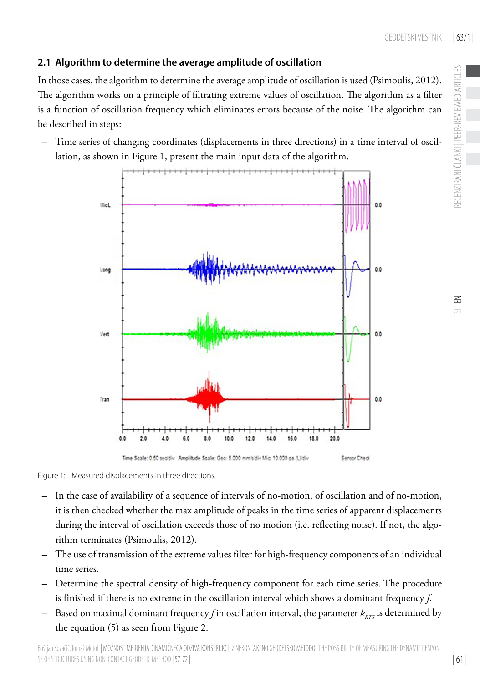# **2.1 Algorithm to determine the average amplitude of oscillation**

In those cases, the algorithm to determine the average amplitude of oscillation is used (Psimoulis, 2012). The algorithm works on a principle of filtrating extreme values of oscillation. The algorithm as a filter is a function of oscillation frequency which eliminates errors because of the noise. The algorithm can be described in steps:

– Time series of changing coordinates (displacements in three directions) in a time interval of oscillation, as shown in Figure 1, present the main input data of the algorithm.



Figure 1: Measured displacements in three directions.

- In the case of availability of a sequence of intervals of no-motion, of oscillation and of no-motion, it is then checked whether the max amplitude of peaks in the time series of apparent displacements during the interval of oscillation exceeds those of no motion (i.e. reflecting noise). If not, the algorithm terminates (Psimoulis, 2012).
- The use of transmission of the extreme values filter for high-frequency components of an individual time series.
- Determine the spectral density of high-frequency component for each time series. The procedure is finished if there is no extreme in the oscillation interval which shows a dominant frequency *f.*
- Based on maximal dominant frequency *f* in oscillation interval, the parameter  $k_{RTS}$  is determined by the equation (5) as seen from Figure 2.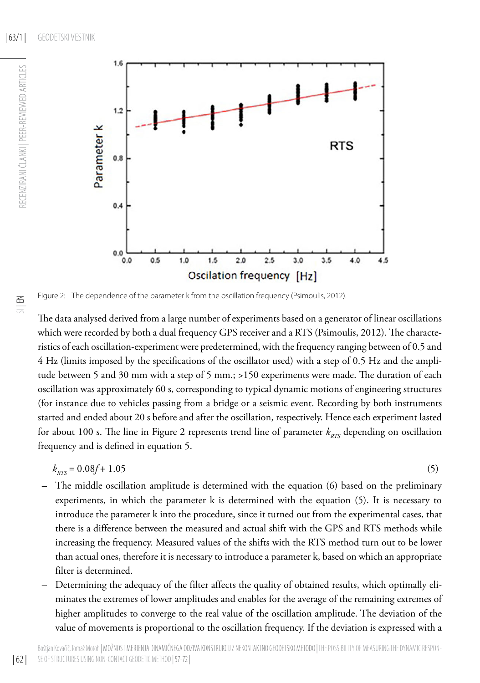

Figure 2: The dependence of the parameter k from the oscillation frequency (Psimoulis, 2012).

The data analysed derived from a large number of experiments based on a generator of linear oscillations which were recorded by both a dual frequency GPS receiver and a RTS (Psimoulis, 2012). The characteristics of each oscillation-experiment were predetermined, with the frequency ranging between of 0.5 and 4 Hz (limits imposed by the specifications of the oscillator used) with a step of 0.5 Hz and the amplitude between 5 and 30 mm with a step of 5 mm.; >150 experiments were made. The duration of each oscillation was approximately 60 s, corresponding to typical dynamic motions of engineering structures (for instance due to vehicles passing from a bridge or a seismic event. Recording by both instruments started and ended about 20 s before and after the oscillation, respectively. Hence each experiment lasted for about 100 s. The line in Figure 2 represents trend line of parameter  $k_{p,\text{TS}}$  depending on oscillation frequency and is defined in equation 5.

$$
k_{\rm{RTS}} = 0.08f + 1.05\tag{5}
$$

- The middle oscillation amplitude is determined with the equation (6) based on the preliminary experiments, in which the parameter k is determined with the equation (5). It is necessary to introduce the parameter k into the procedure, since it turned out from the experimental cases, that there is a difference between the measured and actual shift with the GPS and RTS methods while increasing the frequency. Measured values of the shifts with the RTS method turn out to be lower than actual ones, therefore it is necessary to introduce a parameter k, based on which an appropriate filter is determined.
- Determining the adequacy of the filter affects the quality of obtained results, which optimally eliminates the extremes of lower amplitudes and enables for the average of the remaining extremes of higher amplitudes to converge to the real value of the oscillation amplitude. The deviation of the value of movements is proportional to the oscillation frequency. If the deviation is expressed with a

SI | EN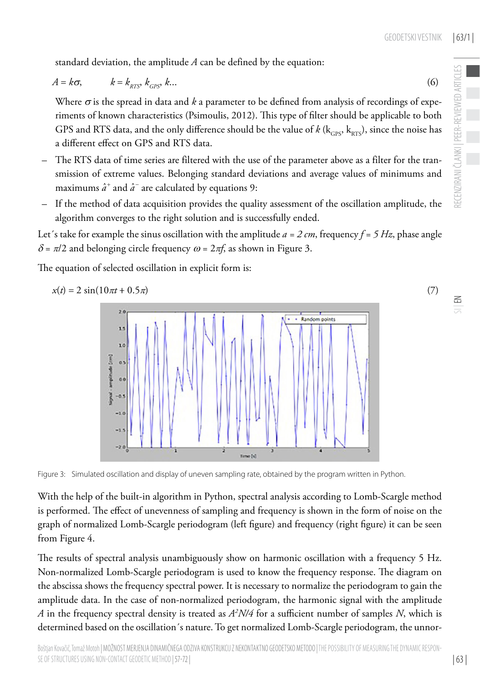standard deviation, the amplitude *A* can be defined by the equation:

$$
A = k\sigma, \qquad k = k_{RTS}, \, k_{GPS}, \, k... \tag{6}
$$

Where  $\sigma$  is the spread in data and *k* a parameter to be defined from analysis of recordings of experiments of known characteristics (Psimoulis, 2012). This type of filter should be applicable to both GPS and RTS data, and the only difference should be the value of  $k$  ( $k_{CPS}$ ,  $k_{RTS}$ ), since the noise has a different effect on GPS and RTS data.

- The RTS data of time series are filtered with the use of the parameter above as a filter for the transmission of extreme values. Belonging standard deviations and average values of minimums and maximums  $\hat{a}^+$  and  $\hat{a}^-$  are calculated by equations 9:
- If the method of data acquisition provides the quality assessment of the oscillation amplitude, the algorithm converges to the right solution and is successfully ended.

Let's take for example the sinus oscillation with the amplitude  $a = 2$  cm, frequency  $f = 5$  Hz, phase angle  $\delta = \pi/2$  and belonging circle frequency  $\omega = 2\pi f$ , as shown in Figure 3.

The equation of selected oscillation in explicit form is:



Figure 3: Simulated oscillation and display of uneven sampling rate, obtained by the program written in Python.

With the help of the built-in algorithm in Python, spectral analysis according to Lomb-Scargle method is performed. The effect of unevenness of sampling and frequency is shown in the form of noise on the graph of normalized Lomb-Scargle periodogram (left figure) and frequency (right figure) it can be seen from Figure 4.

The results of spectral analysis unambiguously show on harmonic oscillation with a frequency 5 Hz. Non-normalized Lomb-Scargle periodogram is used to know the frequency response. The diagram on the abscissa shows the frequency spectral power. It is necessary to normalize the periodogram to gain the amplitude data. In the case of non-normalized periodogram, the harmonic signal with the amplitude *A* in the frequency spectral density is treated as *A2 N/4* for a sufficient number of samples *N*, which is determined based on the oscillation´s nature. To get normalized Lomb-Scargle periodogram, the unnor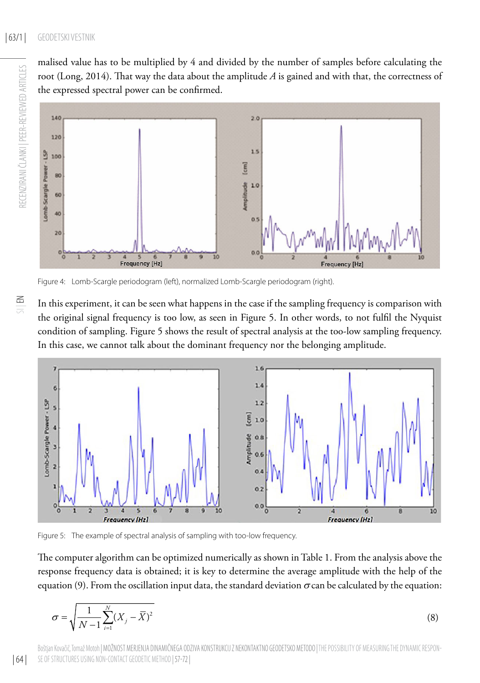malised value has to be multiplied by 4 and divided by the number of samples before calculating the root (Long, 2014). That way the data about the amplitude *A* is gained and with that, the correctness of the expressed spectral power can be confirmed.



Figure 4: Lomb-Scargle periodogram (left), normalized Lomb-Scargle periodogram (right).

SI | EN

RECENZIRANI ČLANKI | PEER-REVIEWED ARTICLES

RECENZIRANI ČLANKI I PEER-REVIEWED ARTICLES

In this experiment, it can be seen what happens in the case if the sampling frequency is comparison with the original signal frequency is too low, as seen in Figure 5. In other words, to not fulfil the Nyquist condition of sampling. Figure 5 shows the result of spectral analysis at the too-low sampling frequency. In this case, we cannot talk about the dominant frequency nor the belonging amplitude.



Figure 5: The example of spectral analysis of sampling with too-low frequency.

The computer algorithm can be optimized numerically as shown in Table 1. From the analysis above the response frequency data is obtained; it is key to determine the average amplitude with the help of the equation (9). From the oscillation input data, the standard deviation  $\sigma$  can be calculated by the equation:

$$
\sigma = \sqrt{\frac{1}{N-1} \sum_{i=1}^{N} (X_i - \overline{X})^2}
$$
\n(8)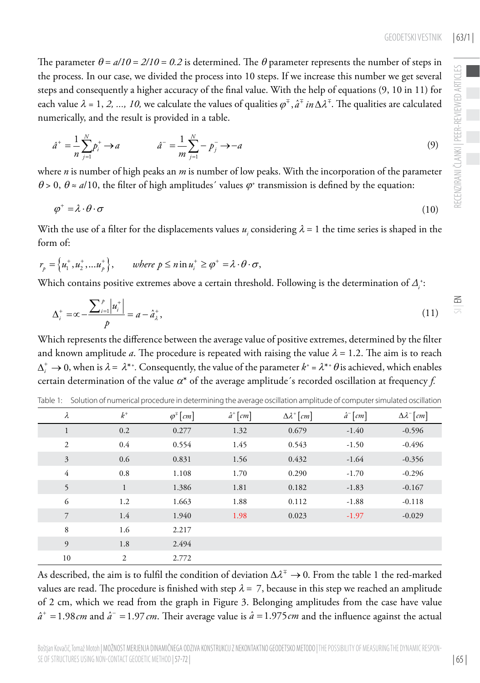$\Xi$ 

The parameter  $\theta = a/10 = 2/10 = 0.2$  is determined. The  $\theta$  parameter represents the number of steps in the process. In our case, we divided the process into 10 steps. If we increase this number we get several steps and consequently a higher accuracy of the final value. With the help of equations (9, 10 in 11) for each value  $\lambda = 1, 2, ..., 10$ , we calculate the values of qualities  $\varphi^{\pm}$ ,  $\hat{a}^{\pm}$  *in*  $\Delta \lambda^{\pm}$ . The qualities are calculated numerically, and the result is provided in a table.

$$
\hat{a}^+ = \frac{1}{n} \sum_{j=1}^N p_j^+ \to a \qquad \qquad \hat{a}^- = \frac{1}{m} \sum_{j=1}^N -p_j^- \to -a \tag{9}
$$

where *n* is number of high peaks an *m* is number of low peaks. With the incorporation of the parameter  $\theta$  > 0,  $\theta$  ≈ *a*/10, the filter of high amplitudes' values  $\varphi$ <sup>+</sup> transmission is defined by the equation:

$$
\varphi^+ = \lambda \cdot \theta \cdot \sigma \tag{10}
$$

With the use of a filter for the displacements values  $u_i$  considering  $\lambda = 1$  the time series is shaped in the form of:

$$
r_p = \{u_1^+, u_2^+, \dots u_p^+\}, \qquad \text{where } p \le n \text{ in } u_i^+ \ge \varphi^+ = \lambda \cdot \theta \cdot \sigma,
$$
  
Which contains positive extremes above a certain threshold. Following is the determination of  $\Delta_i^+$ :

$$
\Delta_i^+ = \infty - \frac{\sum_{i=1}^p |u_i^+|}{p} = a - \hat{a}_\lambda^+, \tag{11}
$$

Which represents the difference between the average value of positive extremes, determined by the filter and known amplitude *a*. The procedure is repeated with raising the value  $\lambda = 1.2$ . The aim is to reach  $\Delta_i^+ \to 0$ , when is  $\lambda = \lambda^{**}$ . Consequently, the value of the parameter  $k^* = \lambda^{**}$   $\theta$  is achieved, which enables certain determination of the value <sup>α</sup>\* of the average amplitude´s recorded oscillation at frequency *f.* 

| λ              | $k^{\scriptscriptstyle \mp}$ | $\varphi^{\bar{\tau}}[cm]$ | $\hat{a}^+$ [cm] | $\Delta \lambda^+$ [cm] | $\hat{a}$ <sup>-</sup> [cm] | $\Delta \lambda^{-}$ [cm] |
|----------------|------------------------------|----------------------------|------------------|-------------------------|-----------------------------|---------------------------|
| 1              | 0.2                          | 0.277                      | 1.32             | 0.679                   | $-1.40$                     | $-0.596$                  |
| 2              | 0.4                          | 0.554                      | 1.45             | 0.543                   | $-1.50$                     | $-0.496$                  |
| 3              | 0.6                          | 0.831                      | 1.56             | 0.432                   | $-1.64$                     | $-0.356$                  |
| $\overline{4}$ | 0.8                          | 1.108                      | 1.70             | 0.290                   | $-1.70$                     | $-0.296$                  |
| 5              | $\mathbf{1}$                 | 1.386                      | 1.81             | 0.182                   | $-1.83$                     | $-0.167$                  |
| 6              | 1.2                          | 1.663                      | 1.88             | 0.112                   | $-1.88$                     | $-0.118$                  |
| $\overline{7}$ | 1.4                          | 1.940                      | 1.98             | 0.023                   | $-1.97$                     | $-0.029$                  |
| 8              | 1.6                          | 2.217                      |                  |                         |                             |                           |
| 9              | 1.8                          | 2.494                      |                  |                         |                             |                           |
| 10             | $\overline{2}$               | 2.772                      |                  |                         |                             |                           |

Table 1: Solution of numerical procedure in determining the average oscillation amplitude of computer simulated oscillation

As described, the aim is to fulfil the condition of deviation  $\Delta \lambda^+ \to 0$ . From the table 1 the red-marked values are read. The procedure is finished with step  $\lambda = 7$ , because in this step we reached an amplitude of 2 cm, which we read from the graph in Figure 3. Belonging amplitudes from the case have value  $\hat{a}^+$  = 1.98 cm and  $\hat{a}^-$  = 1.97 cm. Their average value is  $\hat{a}$  = 1.975 cm and the influence against the actual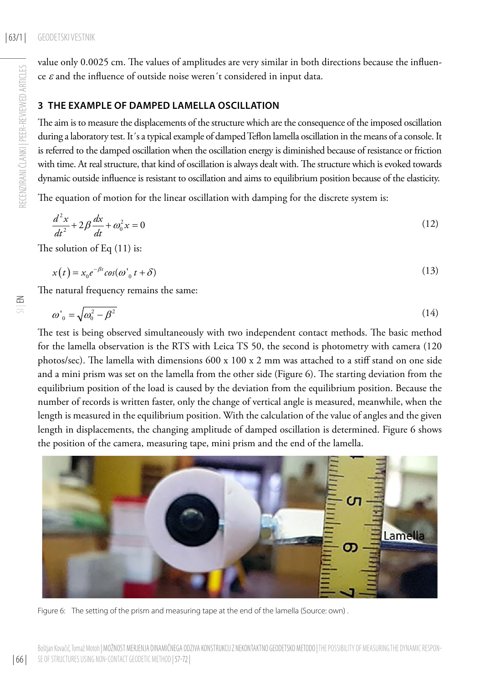value only 0.0025 cm. The values of amplitudes are very similar in both directions because the influence  $\varepsilon$  and the influence of outside noise weren't considered in input data.

# **3 THE EXAMPLE OF DAMPED LAMELLA OSCILLATION**

The aim is to measure the displacements of the structure which are the consequence of the imposed oscillation during a laboratory test. It´s a typical example of damped Teflon lamella oscillation in the means of a console. It is referred to the damped oscillation when the oscillation energy is diminished because of resistance or friction with time. At real structure, that kind of oscillation is always dealt with. The structure which is evoked towards dynamic outside influence is resistant to oscillation and aims to equilibrium position because of the elasticity.

The equation of motion for the linear oscillation with damping for the discrete system is:

$$
\frac{d^2x}{dt^2} + 2\beta \frac{dx}{dt} + \omega_0^2 x = 0
$$
\n(12)

The solution of Eq (11) is:

$$
x(t) = x_0 e^{-\beta t} \cos(\omega_0' t + \delta) \tag{13}
$$

The natural frequency remains the same:

$$
\omega'_{0} = \sqrt{\omega_0^2 - \beta^2} \tag{14}
$$

The test is being observed simultaneously with two independent contact methods. The basic method for the lamella observation is the RTS with Leica TS 50, the second is photometry with camera (120 photos/sec). The lamella with dimensions 600 x 100 x 2 mm was attached to a stiff stand on one side and a mini prism was set on the lamella from the other side (Figure 6). The starting deviation from the equilibrium position of the load is caused by the deviation from the equilibrium position. Because the number of records is written faster, only the change of vertical angle is measured, meanwhile, when the length is measured in the equilibrium position. With the calculation of the value of angles and the given length in displacements, the changing amplitude of damped oscillation is determined. Figure 6 shows the position of the camera, measuring tape, mini prism and the end of the lamella.



Figure 6: The setting of the prism and measuring tape at the end of the lamella (Source: own) .

SI | EN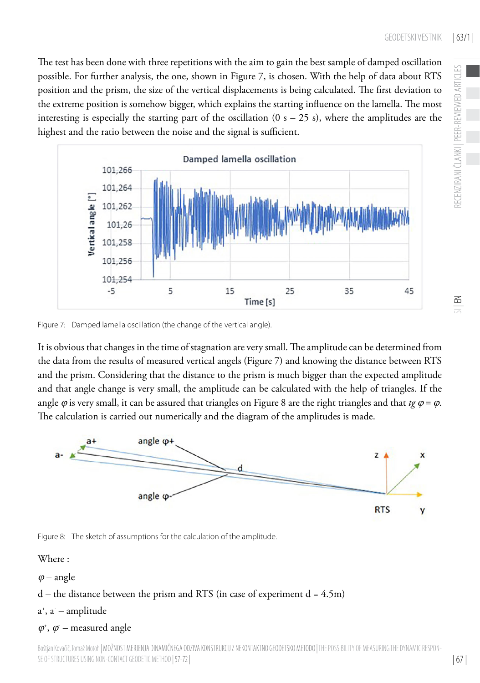The test has been done with three repetitions with the aim to gain the best sample of damped oscillation possible. For further analysis, the one, shown in Figure 7, is chosen. With the help of data about RTS position and the prism, the size of the vertical displacements is being calculated. The first deviation to the extreme position is somehow bigger, which explains the starting influence on the lamella. The most interesting is especially the starting part of the oscillation  $(0 s - 25 s)$ , where the amplitudes are the highest and the ratio between the noise and the signal is sufficient.



Figure 7: Damped lamella oscillation (the change of the vertical angle).

It is obvious that changes in the time of stagnation are very small. The amplitude can be determined from the data from the results of measured vertical angels (Figure 7) and knowing the distance between RTS and the prism. Considering that the distance to the prism is much bigger than the expected amplitude and that angle change is very small, the amplitude can be calculated with the help of triangles. If the angle  $\varphi$  is very small, it can be assured that triangles on Figure 8 are the right triangles and that *tg*  $\varphi = \varphi$ . The calculation is carried out numerically and the diagram of the amplitudes is made.





Where :

 $\varphi$  – angle

# $d$  – the distance between the prism and RTS (in case of experiment  $d = 4.5$ m)

a+ , a- – amplitude

# $\varphi^*, \varphi$  – measured angle

 $\Xi$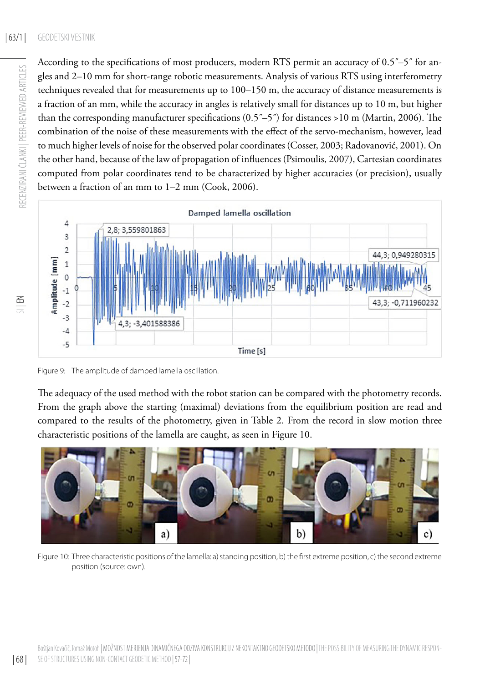## | 63/1 | GEODETSKI VESTNIK

According to the specifications of most producers, modern RTS permit an accuracy of 0.5˝–5˝ for angles and 2–10 mm for short-range robotic measurements. Analysis of various RTS using interferometry techniques revealed that for measurements up to 100–150 m, the accuracy of distance measurements is a fraction of an mm, while the accuracy in angles is relatively small for distances up to 10 m, but higher than the corresponding manufacturer specifications  $(0.5<sup>7</sup>–5<sup>7</sup>)$  for distances >10 m (Martin, 2006). The combination of the noise of these measurements with the effect of the servo-mechanism, however, lead to much higher levels of noise for the observed polar coordinates (Cosser, 2003; Radovanović, 2001). On the other hand, because of the law of propagation of influences (Psimoulis, 2007), Cartesian coordinates computed from polar coordinates tend to be characterized by higher accuracies (or precision), usually between a fraction of an mm to 1–2 mm (Cook, 2006).



Figure 9: The amplitude of damped lamella oscillation.

The adequacy of the used method with the robot station can be compared with the photometry records. From the graph above the starting (maximal) deviations from the equilibrium position are read and compared to the results of the photometry, given in Table 2. From the record in slow motion three characteristic positions of the lamella are caught, as seen in Figure 10.



Figure 10: Three characteristic positions of the lamella: a) standing position, b) the first extreme position, c) the second extreme position (source: own).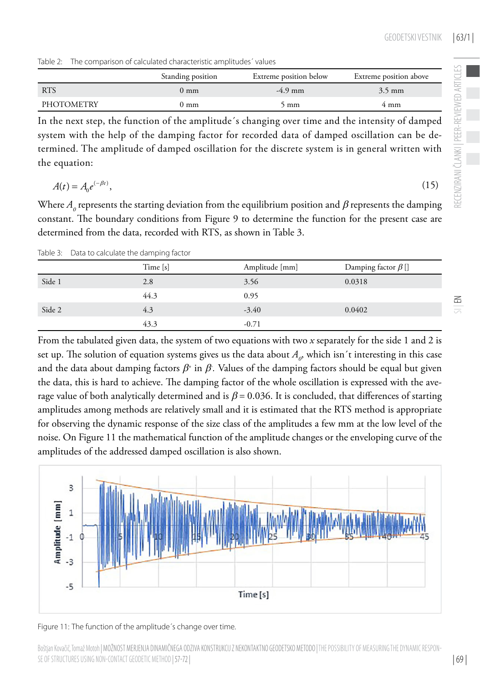Table 2: The comparison of calculated characteristic amplitudes´ values

|            | Standing position | Extreme position below | Extreme position above |
|------------|-------------------|------------------------|------------------------|
| <b>RTS</b> | $0 \text{ mm}$    | $-4.9$ mm              | $3.5 \text{ mm}$       |
| PHOTOMETRY | 0 mm              | , mm                   | 4 mm                   |

In the next step, the function of the amplitude´s changing over time and the intensity of damped system with the help of the damping factor for recorded data of damped oscillation can be determined. The amplitude of damped oscillation for the discrete system is in general written with the equation:

$$
A(t) = A_0 e^{(-\beta t)},\tag{15}
$$

Where  $A_{\rho}$  represents the starting deviation from the equilibrium position and  $\beta$  represents the damping constant. The boundary conditions from Figure 9 to determine the function for the present case are determined from the data, recorded with RTS, as shown in Table 3.

Table 3: Data to calculate the damping factor

|        | Time [s] | Amplitude [mm] | Damping factor $\beta$ [] |
|--------|----------|----------------|---------------------------|
| Side 1 | 2.8      | 3.56           | 0.0318                    |
|        | 44.3     | 0.95           |                           |
| Side 2 | 4.3      | $-3.40$        | 0.0402                    |
|        | 43.3     | $-0.71$        |                           |

From the tabulated given data, the system of two equations with two *x* separately for the side 1 and 2 is set up. The solution of equation systems gives us the data about  $A_\rho$ , which isn´t interesting in this case and the data about damping factors β*<sup>+</sup>* in β*- .* Values of the damping factors should be equal but given the data, this is hard to achieve. The damping factor of the whole oscillation is expressed with the average value of both analytically determined and is  $\beta$  = 0.036. It is concluded, that differences of starting amplitudes among methods are relatively small and it is estimated that the RTS method is appropriate for observing the dynamic response of the size class of the amplitudes a few mm at the low level of the noise. On Figure 11 the mathematical function of the amplitude changes or the enveloping curve of the amplitudes of the addressed damped oscillation is also shown.



Figure 11: The function of the amplitude´s change over time.

Boštjan Kovačič, Tomaž Motoh | MOŽNOST MERJENJA DINAMIČNEGA ODZIVA KONSTRUKCIJ Z NEKONTAKTNO GEODETSKO METODO | THE POSSIBILITY OF MEASURING THE DYNAMIC RESPON-SE OF STRUCTURES USING NON-CONTACT GEODETIC METHOD | 57-72 |

 $\frac{1}{2}$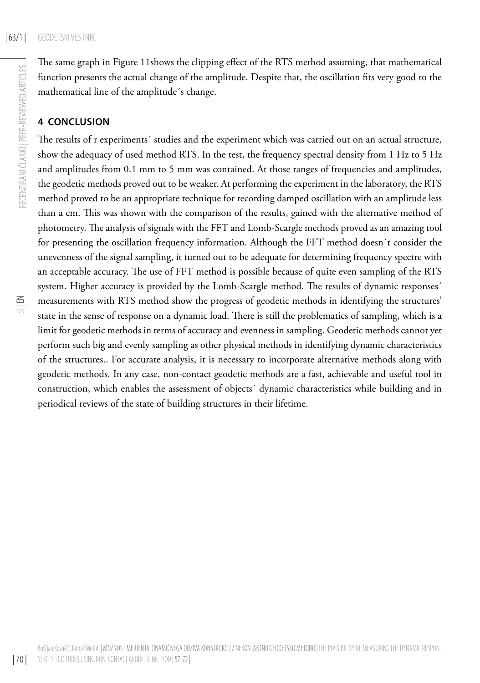The same graph in Figure 11shows the clipping effect of the RTS method assuming, that mathematical function presents the actual change of the amplitude. Despite that, the oscillation fits very good to the mathematical line of the amplitude´s change.

# **4 CONCLUSION**

The results of r experiments´ studies and the experiment which was carried out on an actual structure, show the adequacy of used method RTS. In the test, the frequency spectral density from 1 Hz to 5 Hz and amplitudes from 0.1 mm to 5 mm was contained. At those ranges of frequencies and amplitudes, the geodetic methods proved out to be weaker. At performing the experiment in the laboratory, the RTS method proved to be an appropriate technique for recording damped oscillation with an amplitude less than a cm. This was shown with the comparison of the results, gained with the alternative method of photometry. The analysis of signals with the FFT and Lomb-Scargle methods proved as an amazing tool for presenting the oscillation frequency information. Although the FFT method doesn´t consider the unevenness of the signal sampling, it turned out to be adequate for determining frequency spectre with an acceptable accuracy. The use of FFT method is possible because of quite even sampling of the RTS system. Higher accuracy is provided by the Lomb-Scargle method. The results of dynamic responses´ measurements with RTS method show the progress of geodetic methods in identifying the structures' state in the sense of response on a dynamic load. There is still the problematics of sampling, which is a limit for geodetic methods in terms of accuracy and evenness in sampling. Geodetic methods cannot yet perform such big and evenly sampling as other physical methods in identifying dynamic characteristics of the structures.. For accurate analysis, it is necessary to incorporate alternative methods along with geodetic methods. In any case, non-contact geodetic methods are a fast, achievable and useful tool in construction, which enables the assessment of objects´ dynamic characteristics while building and in periodical reviews of the state of building structures in their lifetime.

SI | EN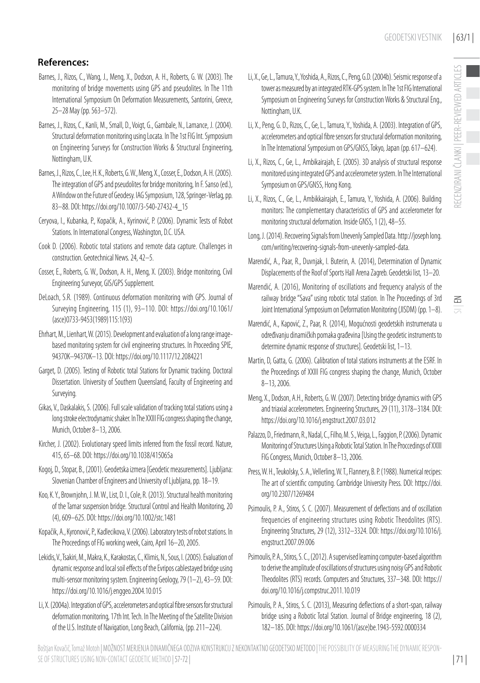RECENZIRANI ČLANKI | PEER-REVIEWED ARTICLES

RECENZIRANI ČLANKI | PEER-REVIEWED ARTICLES

- Barnes, J., Rizos, C., Wang, J., Meng, X., Dodson, A. H., Roberts, G. W. (2003). The monitoring of bridge movements using GPS and pseudolites. In The 11th International Symposium On Deformation Measurements, Santorini, Greece, 25–28 May (pp. 563–572).
- Barnes, J., Rizos, C., Kanli, M., Small, D., Voigt, G., Gambale, N., Lamance, J. (2004). Structural deformation monitoring using Locata. In The 1st FIG Int. Symposium on Engineering Surveys for Construction Works & Structural Engineering, Nottingham, U.K.
- Barnes, J., Rizos, C., Lee, H. K., Roberts, G. W., Meng, X., Cosser, E., Dodson, A. H. (2005). The integration of GPS and pseudolites for bridge monitoring, In F. Sanso (ed.), A Window on the Future of Geodesy. IAG Symposium, 128, Springer-Verlag, pp. 83–88. DOI: https://doi.org/10.1007/3-540-27432-4\_15
- Ceryova, I., Kubanka, P., Kopačik, A., Kyrinović, P. (2006). Dynamic Tests of Robot Stations. In International Congress, Washington, D.C. USA.
- Cook D. (2006). Robotic total stations and remote data capture. Challenges in construction. Geotechnical News. 24, 42–5.
- Cosser, E., Roberts, G. W., Dodson, A. H., Meng, X. (2003). Bridge monitoring, Civil Engineering Surveyor, GIS/GPS Supplement.
- DeLoach, S.R. (1989). Continuous deformation monitoring with GPS. Journal of Surveying Engineering, 115 (1), 93–110. DOI: [https://doi.org/10.1061/](https://doi.org/10.1061/(asce)0733-9453(1989)115:1(93)) [\(asce\)0733-9453\(1989\)115:1\(93\)](https://doi.org/10.1061/(asce)0733-9453(1989)115:1(93))
- Ehrhart, M., Lienhart, W. (2015). Development and evaluation of a long range imagebased monitoring system for civil engineering structures. In Proceeding SPIE, 94370K–94370K–13. DOI: https://doi.org/10.1117/12.2084221
- Garget, D. (2005). Testing of Robotic total Stations for Dynamic tracking. Doctoral Dissertation. University of Southern Queensland, Faculty of Engineering and Surveying.
- Gikas, V., Daskalakis, S. (2006). Full scale validation of tracking total stations using a long stroke electrodynamic shaker. In The XXIII FIG congress shaping the change, Munich, October 8–13, 2006.
- Kircher, J. (2002). Evolutionary speed limits inferred from the fossil record. Nature, 415, 65–68. DOI: https://doi.org/10.1038/415065a
- Kogoj, D., Stopar, B., (2001). Geodetska izmera [Geodetic measurements]. Ljubljana: Slovenian Chamber of Engineers and University of Ljubljana, pp. 18–19.
- Koo, K. Y., Brownjohn, J. M. W., List, D. I., Cole, R. (2013). Structural health monitoring of the Tamar suspension bridge. Structural Control and Health Monitoring, 20 (4), 609–625. DOI:<https://doi.org/10.1002/stc.1481>
- Kopačik, A., Kyronović, P., Kadlecikova, V. (2006). Laboratory tests of robot stations. In The Proceedings of FIG working week, Cairo, April 16–20, 2005.
- Lekidis, V., Tsakiri, M., Makra, K., Karakostas, C., Klimis, N., Sous, I. (2005). Evaluation of dynamic response and local soil effects of the Evripos cablestayed bridge using multi-sensor monitoring system. Engineering Geology, 79 (1–2), 43–59. DOI: https://doi.org/10.1016/j.enggeo.2004.10.015
- Li, X. (2004a). Integration of GPS, accelerometers and optical fibre sensors for structural deformation monitoring, 17th Int. Tech. In The Meeting of the Satellite Division of the U.S. Institute of Navigation, Long Beach, California, (pp. 211–224).
- Li, X., Ge, L., Tamura, Y., Yoshida, A., Rizos, C., Peng, G.D. (2004b). Seismic response of a tower as measured by an integrated RTK-GPS system. In The 1st FIG International Symposium on Engineering Surveys for Construction Works & Structural Eng., Nottingham, U.K.
- Li, X., Peng, G. D., Rizos, C., Ge, L., Tamura, Y., Yoshida, A. (2003). Integration of GPS, accelerometers and optical fibre sensors for structural deformation monitoring, In The International Symposium on GPS/GNSS, Tokyo, Japan (pp. 617–624).
- Li, X., Rizos, C., Ge, L., Ambikairajah, E. (2005). 3D analysis of structural response monitored using integrated GPS and accelerometer system. In The International Symposium on GPS/GNSS, Hong Kong.
- Li, X., Rizos, C., Ge, L., Ambikkairajah, E., Tamura, Y., Yoshida, A. (2006). Building monitors: The complementary characteristics of GPS and accelerometer for monitoring structural deformation. Inside GNSS, 1 (2), 48–55.
- Long, J. (2014). Recovering Signals from Unevenly Sampled Data. http://joseph long. com/writing/recovering-signals-from-unevenly-sampled-data.
- Marendić, A., Paar, R., Duvnjak, I. Buterin, A. (2014), Determination of Dynamic Displacements of the Roof of Sports Hall Arena Zagreb. Geodetski list, 13–20.
- Marendić, A. (2016), Monitoring of oscillations and frequency analysis of the railway bridge "Sava" using robotic total station. In The Proceedings of 3rd Joint International Symposium on Deformation Monitoring (JISDM) (pp. 1–8).
- Marendić, A., Kapović, Z., Paar, R. (2014), Mogućnosti geodetskih instrumenata u određivanju dinamičkih pomaka građevina [Using the geodetic instruments to determine dynamic response of structures]. Geodetski list, 1–13.
- Martin, D, Gatta, G. (2006). Calibration of total stations instruments at the ESRF. In the Proceedings of XXIII FIG congress shaping the change, Munich, October 8–13, 2006.
- Meng, X., Dodson, A.H., Roberts, G. W. (2007). Detecting bridge dynamics with GPS and triaxial accelerometers. Engineering Structures, 29 (11), 3178–3184. DOI: https://doi.org/10.1016/j.engstruct.2007.03.012
- Palazzo, D., Friedmann, R., Nadal, C., Filho, M. S., Veiga, L., Faggion, P. (2006). Dynamic Monitoring of Structures Using a Robotic Total Station. In The Proccedings of XXIII FIG Congress, Munich, October 8–13, 2006.
- Press, W. H., Teukolsky, S. A., Vellerling, W. T., Flannery, B. P. (1988). Numerical recipes: The art of scientific computing. Cambridge University Press. DOI: [https://doi.](https://doi.org/10.2307/1269484) [org/10.2307/1269484](https://doi.org/10.2307/1269484)
- Psimoulis, P. A., Stiros, S. C. (2007). Measurement of deflections and of oscillation frequencies of engineering structures using Robotic Theodolites (RTS). Engineering Structures, 29 (12), 3312–3324. DOI: https://doi.org/10.1016/j. engstruct.2007.09.006
- Psimoulis, P. A., Stiros, S. C., (2012). A supervised learning computer-based algorithm to derive the amplitude of oscillations of structures using noisy GPS and Robotic Theodolites (RTS) records. Computers and Structures, 337–348. DOI: https:// doi.org/10.1016/j.compstruc.2011.10.019
- Psimoulis, P. A., Stiros, S. C. (2013), Measuring deflections of a short-span, railway bridge using a Robotic Total Station. Journal of Bridge engineering, 18 (2), 182–185. DOI: https://doi.org/10.1061/(asce)be.1943-5592.0000334

 $\leq$ 

| 71 |